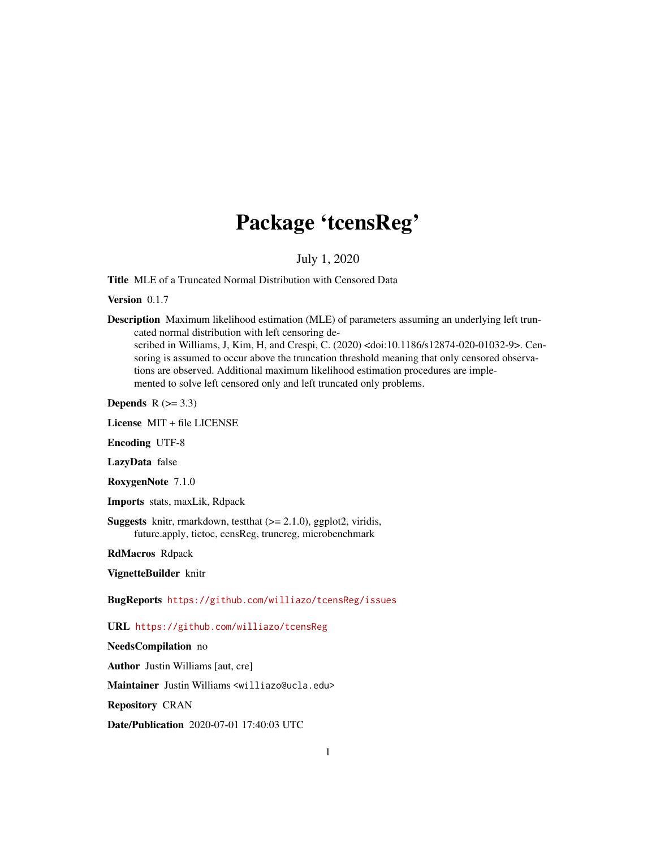# Package 'tcensReg'

July 1, 2020

<span id="page-0-0"></span>Title MLE of a Truncated Normal Distribution with Censored Data

Version 0.1.7

Description Maximum likelihood estimation (MLE) of parameters assuming an underlying left truncated normal distribution with left censoring de-

scribed in Williams, J, Kim, H, and Crespi, C. (2020) <doi:10.1186/s12874-020-01032-9>. Censoring is assumed to occur above the truncation threshold meaning that only censored observations are observed. Additional maximum likelihood estimation procedures are implemented to solve left censored only and left truncated only problems.

Depends  $R$  ( $>= 3.3$ )

License MIT + file LICENSE

Encoding UTF-8

LazyData false

RoxygenNote 7.1.0

Imports stats, maxLik, Rdpack

**Suggests** knitr, rmarkdown, test that  $(>= 2.1.0)$ , ggplot<sup>2</sup>, viridis, future.apply, tictoc, censReg, truncreg, microbenchmark

RdMacros Rdpack

VignetteBuilder knitr

BugReports <https://github.com/williazo/tcensReg/issues>

URL <https://github.com/williazo/tcensReg>

NeedsCompilation no

Author Justin Williams [aut, cre]

Maintainer Justin Williams <williazo@ucla.edu>

Repository CRAN

Date/Publication 2020-07-01 17:40:03 UTC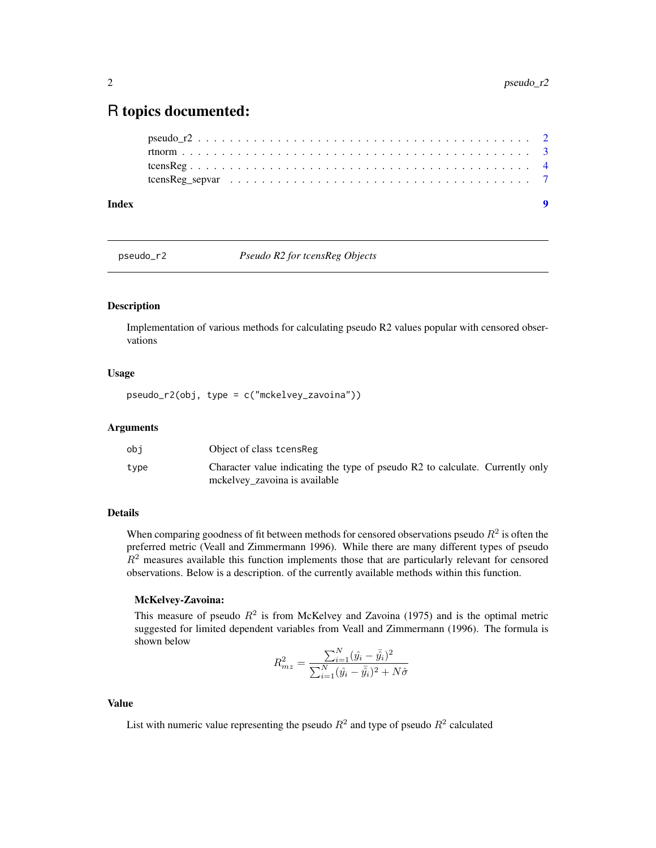# <span id="page-1-0"></span>R topics documented:

| Index |  |  |  |
|-------|--|--|--|
|       |  |  |  |
|       |  |  |  |
|       |  |  |  |
|       |  |  |  |

pseudo\_r2 *Pseudo R2 for tcensReg Objects*

# Description

Implementation of various methods for calculating pseudo R2 values popular with censored observations

# Usage

pseudo\_r2(obj, type = c("mckelvey\_zavoina"))

### **Arguments**

| obi  | Object of class tcens Reg                                                                                      |
|------|----------------------------------------------------------------------------------------------------------------|
| type | Character value indicating the type of pseudo R2 to calculate. Currently only<br>mckelvey zavoina is available |

# Details

When comparing goodness of fit between methods for censored observations pseudo  $R<sup>2</sup>$  is often the preferred metric (Veall and Zimmermann 1996). While there are many different types of pseudo  $R<sup>2</sup>$  measures available this function implements those that are particularly relevant for censored observations. Below is a description. of the currently available methods within this function.

# McKelvey-Zavoina:

This measure of pseudo  $R^2$  is from McKelvey and Zavoina (1975) and is the optimal metric suggested for limited dependent variables from Veall and Zimmermann (1996). The formula is shown below

$$
R_{mz}^{2} = \frac{\sum_{i=1}^{N} (\hat{y}_{i} - \bar{\hat{y}}_{i})^{2}}{\sum_{i=1}^{N} (\hat{y}_{i} - \bar{\hat{y}}_{i})^{2} + N\hat{\sigma}}
$$

#### Value

List with numeric value representing the pseudo  $R^2$  and type of pseudo  $R^2$  calculated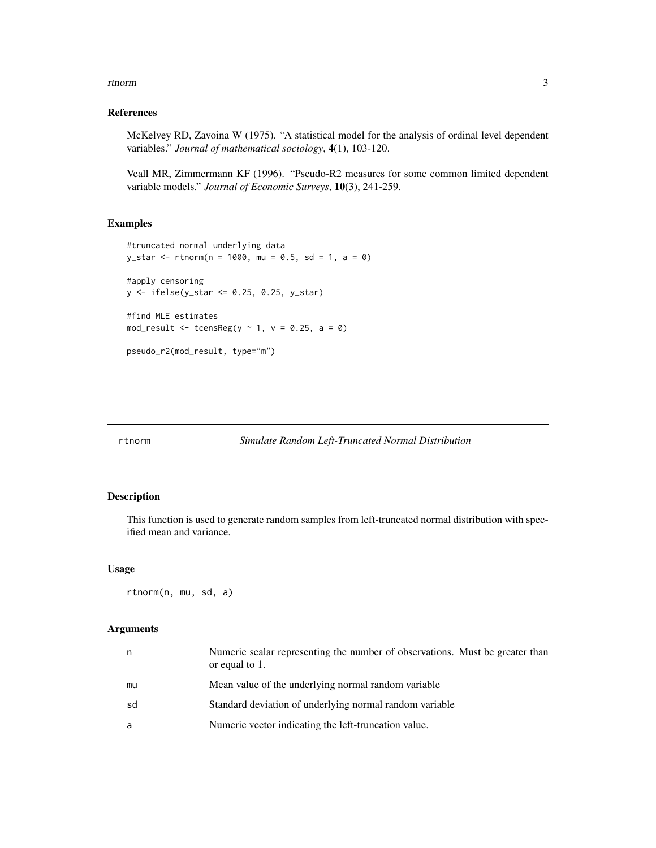#### <span id="page-2-0"></span>rtnorm 3

### References

McKelvey RD, Zavoina W (1975). "A statistical model for the analysis of ordinal level dependent variables." *Journal of mathematical sociology*, 4(1), 103-120.

Veall MR, Zimmermann KF (1996). "Pseudo-R2 measures for some common limited dependent variable models." *Journal of Economic Surveys*, 10(3), 241-259.

# Examples

```
#truncated normal underlying data
y_{\text{1}}star <- rtnorm(n = 1000, mu = 0.5, sd = 1, a = 0)
#apply censoring
y <- ifelse(y_star <= 0.25, 0.25, y_star)
#find MLE estimates
mod_result <- tcensReg(y \sim 1, v = 0.25, a = 0)
```
pseudo\_r2(mod\_result, type="m")

#### Description

This function is used to generate random samples from left-truncated normal distribution with specified mean and variance.

#### Usage

rtnorm(n, mu, sd, a)

#### Arguments

| n  | Numeric scalar representing the number of observations. Must be greater than<br>or equal to 1. |
|----|------------------------------------------------------------------------------------------------|
| mu | Mean value of the underlying normal random variable                                            |
| sd | Standard deviation of underlying normal random variable                                        |
| a  | Numeric vector indicating the left-truncation value.                                           |
|    |                                                                                                |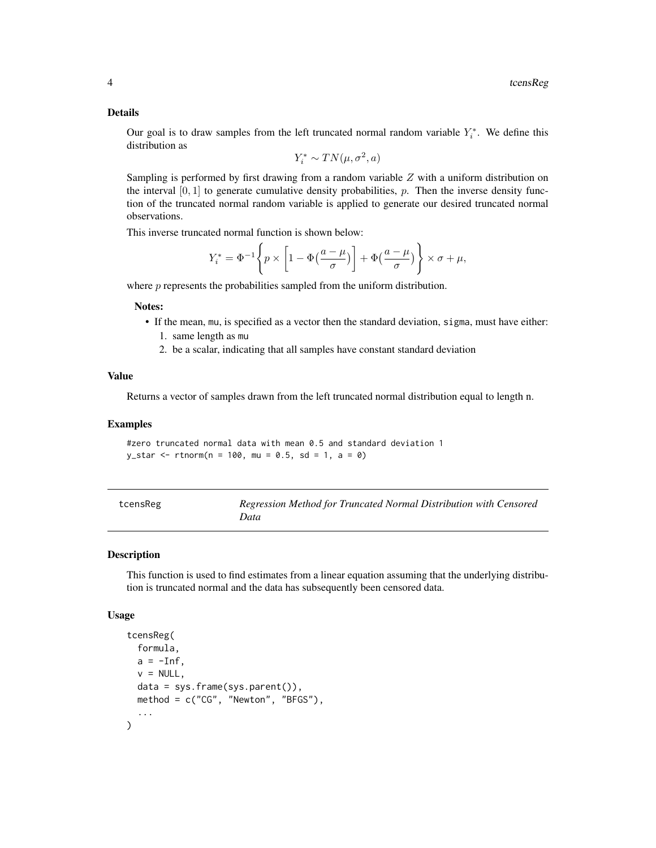#### Details

Our goal is to draw samples from the left truncated normal random variable  $Y_i^*$ . We define this distribution as

$$
Y_i^* \sim TN(\mu, \sigma^2, a)
$$

Sampling is performed by first drawing from a random variable  $Z$  with a uniform distribution on the interval  $[0, 1]$  to generate cumulative density probabilities, p. Then the inverse density function of the truncated normal random variable is applied to generate our desired truncated normal observations.

This inverse truncated normal function is shown below:

$$
Y_i^* = \Phi^{-1}\left\{p \times \left[1 - \Phi\left(\frac{a - \mu}{\sigma}\right)\right] + \Phi\left(\frac{a - \mu}{\sigma}\right)\right\} \times \sigma + \mu,
$$

where *p* represents the probabilities sampled from the uniform distribution.

#### Notes:

- If the mean, mu, is specified as a vector then the standard deviation, sigma, must have either: 1. same length as mu
	- 2. be a scalar, indicating that all samples have constant standard deviation

# Value

Returns a vector of samples drawn from the left truncated normal distribution equal to length n.

#### Examples

#zero truncated normal data with mean 0.5 and standard deviation 1  $y_{\text{1}}$  star <- rtnorm(n = 100, mu = 0.5, sd = 1, a = 0)

| tcensReg | Regression Method for Truncated Normal Distribution with Censored |
|----------|-------------------------------------------------------------------|
|          | Data                                                              |

# Description

This function is used to find estimates from a linear equation assuming that the underlying distribution is truncated normal and the data has subsequently been censored data.

#### Usage

```
tcensReg(
  formula,
 a = -Inf,
 v = NULL,
  data = sys.frame(sys.parent()),
 method = c("CG", "Newton", "BFGS"),
  ...
)
```
<span id="page-3-0"></span>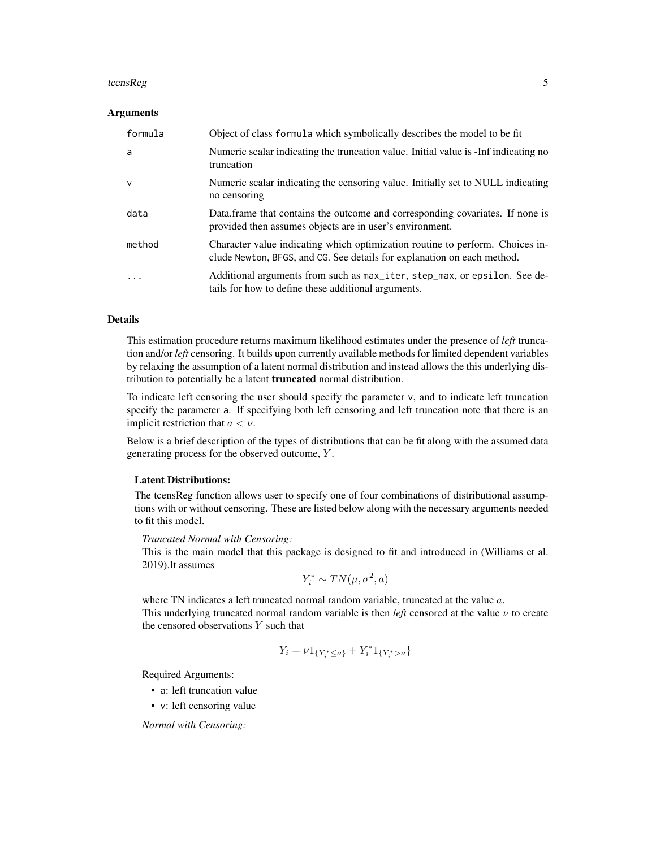#### tcensReg 55

#### Arguments

| formula | Object of class formula which symbolically describes the model to be fit                                                                                 |
|---------|----------------------------------------------------------------------------------------------------------------------------------------------------------|
| a       | Numeric scalar indicating the truncation value. Initial value is -Inf indicating no<br>truncation                                                        |
| $\vee$  | Numeric scalar indicating the censoring value. Initially set to NULL indicating<br>no censoring                                                          |
| data    | Data frame that contains the outcome and corresponding covariates. If none is<br>provided then assumes objects are in user's environment.                |
| method  | Character value indicating which optimization routine to perform. Choices in-<br>clude Newton, BFGS, and CG. See details for explanation on each method. |
| .       | Additional arguments from such as max_iter, step_max, or epsilon. See de-<br>tails for how to define these additional arguments.                         |

#### Details

This estimation procedure returns maximum likelihood estimates under the presence of *left* truncation and/or *left* censoring. It builds upon currently available methods for limited dependent variables by relaxing the assumption of a latent normal distribution and instead allows the this underlying distribution to potentially be a latent **truncated** normal distribution.

To indicate left censoring the user should specify the parameter v, and to indicate left truncation specify the parameter a. If specifying both left censoring and left truncation note that there is an implicit restriction that  $a < \nu$ .

Below is a brief description of the types of distributions that can be fit along with the assumed data generating process for the observed outcome, Y .

#### Latent Distributions:

The tcensReg function allows user to specify one of four combinations of distributional assumptions with or without censoring. These are listed below along with the necessary arguments needed to fit this model.

#### *Truncated Normal with Censoring:*

This is the main model that this package is designed to fit and introduced in (Williams et al. 2019).It assumes

$$
Y_i^* \sim TN(\mu, \sigma^2, a)
$$

where TN indicates a left truncated normal random variable, truncated at the value a. This underlying truncated normal random variable is then *left* censored at the value  $\nu$  to create the censored observations  $Y$  such that

$$
Y_i = \nu 1_{\{Y_i^* \le \nu\}} + Y_i^* 1_{\{Y_i^* > \nu\}}
$$

Required Arguments:

- a: left truncation value
- v: left censoring value

*Normal with Censoring:*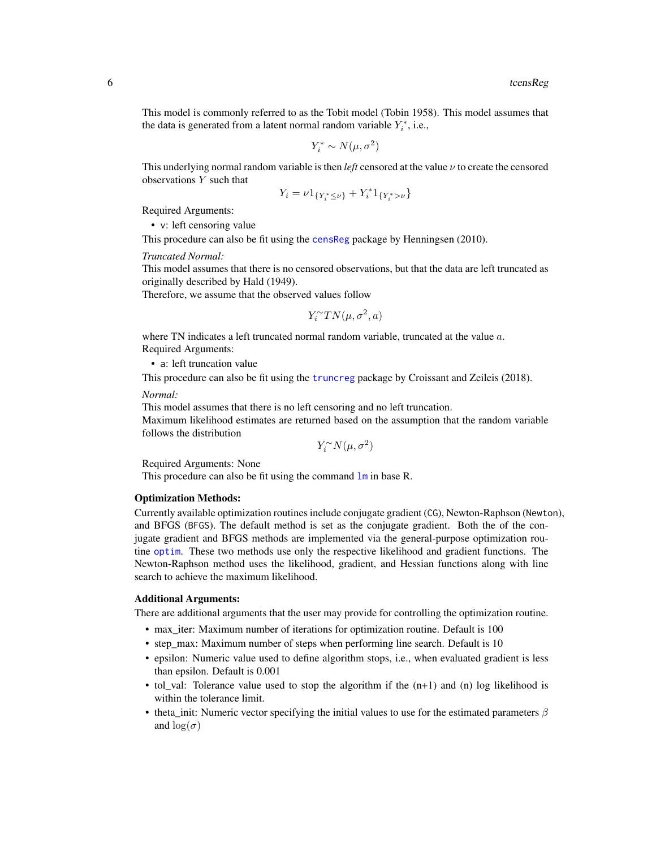<span id="page-5-0"></span>This model is commonly referred to as the Tobit model (Tobin 1958). This model assumes that the data is generated from a latent normal random variable  $Y_i^*$ , i.e.,

$$
Y_i^* \sim N(\mu, \sigma^2)
$$

This underlying normal random variable is then *left* censored at the value  $\nu$  to create the censored observations Y such that

$$
Y_i = \nu 1_{\{Y_i^* \le \nu\}} + Y_i^* 1_{\{Y_i^* > \nu\}}
$$

Required Arguments:

• v: left censoring value

This procedure can also be fit using the [censReg](#page-0-0) package by Henningsen (2010).

*Truncated Normal:*

This model assumes that there is no censored observations, but that the data are left truncated as originally described by Hald (1949).

Therefore, we assume that the observed values follow

$$
Y_i^{\sim}TN(\mu,\sigma^2,a)
$$

where TN indicates a left truncated normal random variable, truncated at the value  $a$ . Required Arguments:

• a: left truncation value

This procedure can also be fit using the [truncreg](#page-0-0) package by Croissant and Zeileis (2018).

*Normal:*

This model assumes that there is no left censoring and no left truncation.

Maximum likelihood estimates are returned based on the assumption that the random variable follows the distribution

 $Y_i^{\sim}N(\mu,\sigma^2)$ 

Required Arguments: None

This procedure can also be fit using the command  $\text{lm}$  $\text{lm}$  $\text{lm}$  in base R.

#### Optimization Methods:

Currently available optimization routines include conjugate gradient (CG), Newton-Raphson (Newton), and BFGS (BFGS). The default method is set as the conjugate gradient. Both the of the conjugate gradient and BFGS methods are implemented via the general-purpose optimization routine [optim](#page-0-0). These two methods use only the respective likelihood and gradient functions. The Newton-Raphson method uses the likelihood, gradient, and Hessian functions along with line search to achieve the maximum likelihood.

# Additional Arguments:

There are additional arguments that the user may provide for controlling the optimization routine.

- max\_iter: Maximum number of iterations for optimization routine. Default is 100
- step max: Maximum number of steps when performing line search. Default is 10
- epsilon: Numeric value used to define algorithm stops, i.e., when evaluated gradient is less than epsilon. Default is 0.001
- tol val: Tolerance value used to stop the algorithm if the  $(n+1)$  and  $(n)$  log likelihood is within the tolerance limit.
- theta\_init: Numeric vector specifying the initial values to use for the estimated parameters  $\beta$ and  $\log(\sigma)$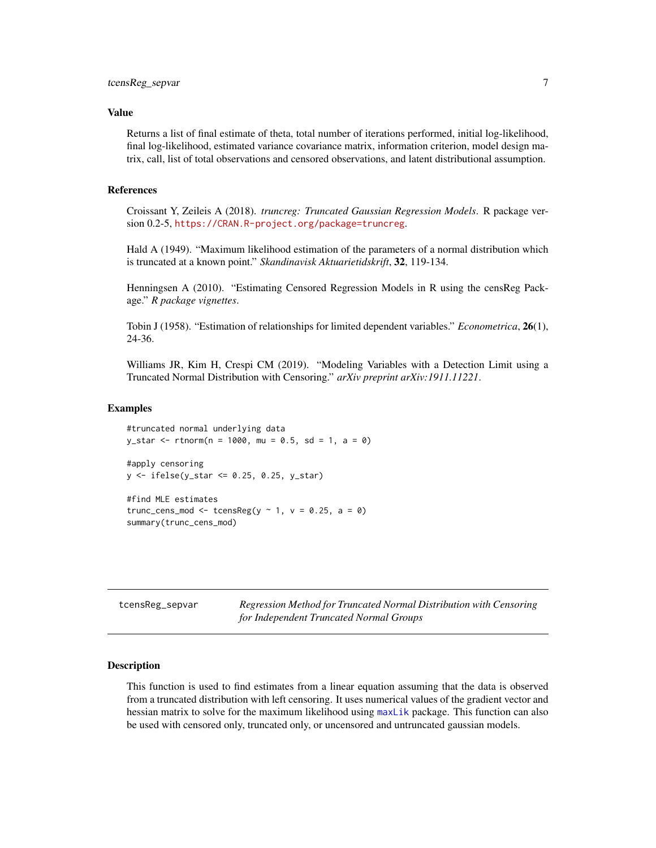#### <span id="page-6-0"></span>Value

Returns a list of final estimate of theta, total number of iterations performed, initial log-likelihood, final log-likelihood, estimated variance covariance matrix, information criterion, model design matrix, call, list of total observations and censored observations, and latent distributional assumption.

# References

Croissant Y, Zeileis A (2018). *truncreg: Truncated Gaussian Regression Models*. R package version 0.2-5, <https://CRAN.R-project.org/package=truncreg>.

Hald A (1949). "Maximum likelihood estimation of the parameters of a normal distribution which is truncated at a known point." *Skandinavisk Aktuarietidskrift*, 32, 119-134.

Henningsen A (2010). "Estimating Censored Regression Models in R using the censReg Package." *R package vignettes*.

Tobin J (1958). "Estimation of relationships for limited dependent variables." *Econometrica*, 26(1), 24-36.

Williams JR, Kim H, Crespi CM (2019). "Modeling Variables with a Detection Limit using a Truncated Normal Distribution with Censoring." *arXiv preprint arXiv:1911.11221*.

#### Examples

```
#truncated normal underlying data
y_{\text{1}}star <- rtnorm(n = 1000, mu = 0.5, sd = 1, a = 0)
#apply censoring
y <- ifelse(y_star <= 0.25, 0.25, y_star)
#find MLE estimates
trunc_cens_mod <- tcensReg(y \sim 1, v = 0.25, a = 0)
```
summary(trunc\_cens\_mod)

| tcensReg_sepvar | Regression Method for Truncated Normal Distribution with Censoring |
|-----------------|--------------------------------------------------------------------|
|                 | for Independent Truncated Normal Groups                            |

# **Description**

This function is used to find estimates from a linear equation assuming that the data is observed from a truncated distribution with left censoring. It uses numerical values of the gradient vector and hessian matrix to solve for the maximum likelihood using [maxLik](#page-0-0) package. This function can also be used with censored only, truncated only, or uncensored and untruncated gaussian models.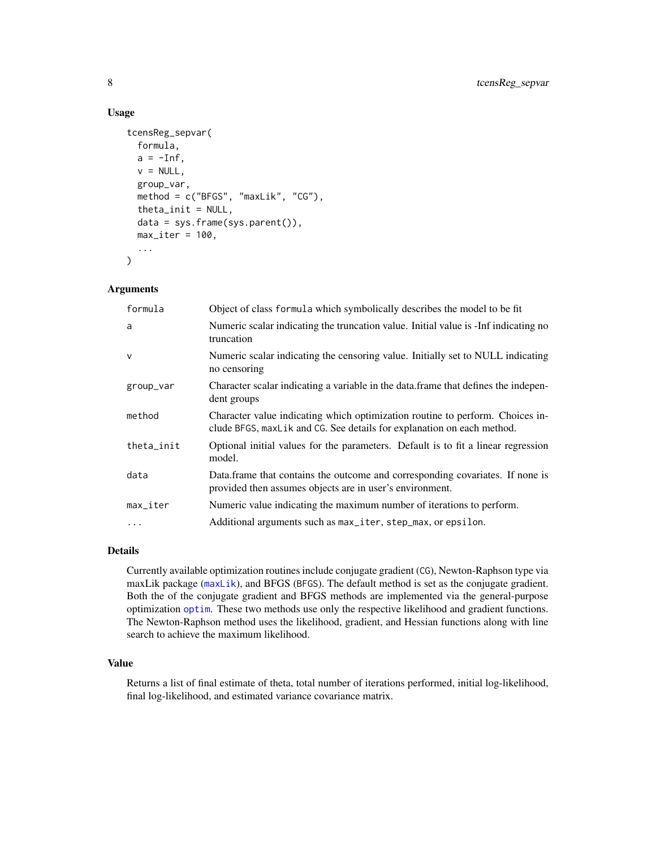# Usage

```
tcensReg_sepvar(
 formula,
  a = -Inf,v = NULL,group_var,
 method = c("BFGS", "maxLik", "CG"),
  theta_init = NULL,data = sys.frame(sys.parent()),
 max\_iter = 100,
  ...
)
```
# Arguments

| formula                | Object of class formula which symbolically describes the model to be fit                                                                                |
|------------------------|---------------------------------------------------------------------------------------------------------------------------------------------------------|
| a                      | Numeric scalar indicating the truncation value. Initial value is -Inf indicating no<br>truncation                                                       |
| $\mathsf{V}$           | Numeric scalar indicating the censoring value. Initially set to NULL indicating<br>no censoring                                                         |
| group_var              | Character scalar indicating a variable in the data frame that defines the indepen-<br>dent groups                                                       |
| method                 | Character value indicating which optimization routine to perform. Choices in-<br>clude BFGS, maxLik and CG. See details for explanation on each method. |
| theta_init             | Optional initial values for the parameters. Default is to fit a linear regression<br>model.                                                             |
| data                   | Data.frame that contains the outcome and corresponding covariates. If none is<br>provided then assumes objects are in user's environment.               |
| $max$ <sub>Liter</sub> | Numeric value indicating the maximum number of iterations to perform.                                                                                   |
| $\ddots$               | Additional arguments such as max_iter, step_max, or epsilon.                                                                                            |

# Details

Currently available optimization routines include conjugate gradient (CG), Newton-Raphson type via maxLik package ([maxLik](#page-0-0)), and BFGS (BFGS). The default method is set as the conjugate gradient. Both the of the conjugate gradient and BFGS methods are implemented via the general-purpose optimization [optim](#page-0-0). These two methods use only the respective likelihood and gradient functions. The Newton-Raphson method uses the likelihood, gradient, and Hessian functions along with line search to achieve the maximum likelihood.

# Value

Returns a list of final estimate of theta, total number of iterations performed, initial log-likelihood, final log-likelihood, and estimated variance covariance matrix.

<span id="page-7-0"></span>